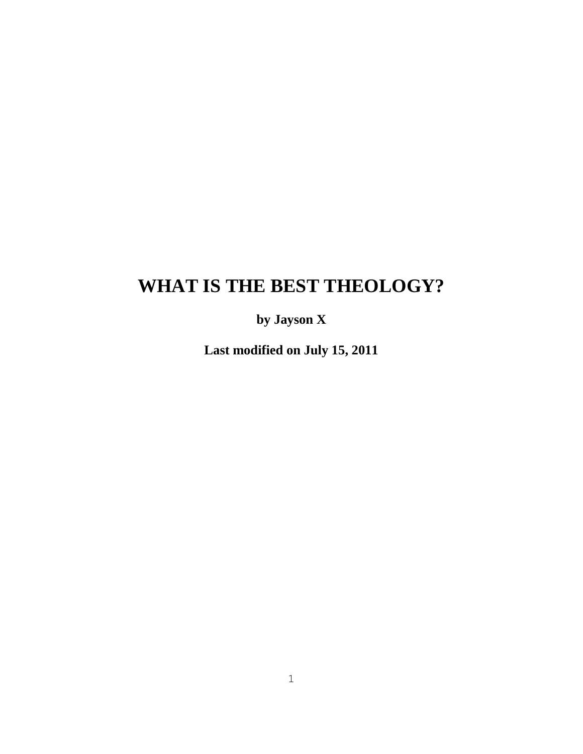# **WHAT IS THE BEST THEOLOGY?**

**by Jayson X**

**Last modified on July 15, 2011**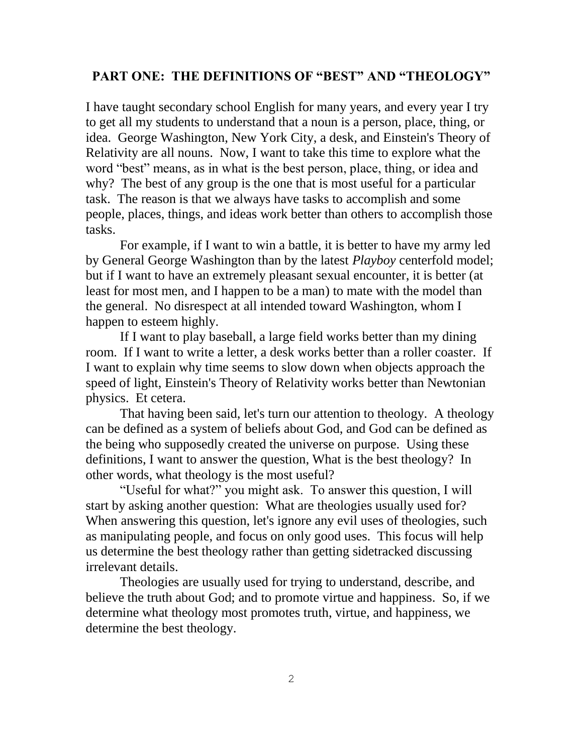#### **PART ONE: THE DEFINITIONS OF "BEST" AND "THEOLOGY"**

I have taught secondary school English for many years, and every year I try to get all my students to understand that a noun is a person, place, thing, or idea. George Washington, New York City, a desk, and Einstein's Theory of Relativity are all nouns. Now, I want to take this time to explore what the word "best" means, as in what is the best person, place, thing, or idea and why? The best of any group is the one that is most useful for a particular task. The reason is that we always have tasks to accomplish and some people, places, things, and ideas work better than others to accomplish those tasks.

For example, if I want to win a battle, it is better to have my army led by General George Washington than by the latest *Playboy* centerfold model; but if I want to have an extremely pleasant sexual encounter, it is better (at least for most men, and I happen to be a man) to mate with the model than the general. No disrespect at all intended toward Washington, whom I happen to esteem highly.

If I want to play baseball, a large field works better than my dining room. If I want to write a letter, a desk works better than a roller coaster. If I want to explain why time seems to slow down when objects approach the speed of light, Einstein's Theory of Relativity works better than Newtonian physics. Et cetera.

That having been said, let's turn our attention to theology. A theology can be defined as a system of beliefs about God, and God can be defined as the being who supposedly created the universe on purpose. Using these definitions, I want to answer the question, What is the best theology? In other words, what theology is the most useful?

"Useful for what?" you might ask. To answer this question, I will start by asking another question: What are theologies usually used for? When answering this question, let's ignore any evil uses of theologies, such as manipulating people, and focus on only good uses. This focus will help us determine the best theology rather than getting sidetracked discussing irrelevant details.

Theologies are usually used for trying to understand, describe, and believe the truth about God; and to promote virtue and happiness. So, if we determine what theology most promotes truth, virtue, and happiness, we determine the best theology.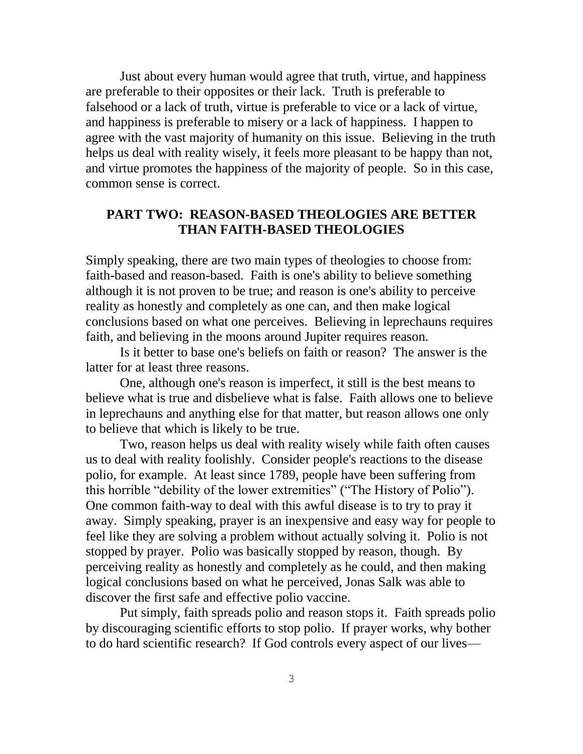Just about every human would agree that truth, virtue, and happiness are preferable to their opposites or their lack. Truth is preferable to falsehood or a lack of truth, virtue is preferable to vice or a lack of virtue, and happiness is preferable to misery or a lack of happiness. I happen to agree with the vast majority of humanity on this issue. Believing in the truth helps us deal with reality wisely, it feels more pleasant to be happy than not, and virtue promotes the happiness of the majority of people. So in this case, common sense is correct.

## **PART TWO: REASON-BASED THEOLOGIES ARE BETTER THAN FAITH-BASED THEOLOGIES**

Simply speaking, there are two main types of theologies to choose from: faith-based and reason-based. Faith is one's ability to believe something although it is not proven to be true; and reason is one's ability to perceive reality as honestly and completely as one can, and then make logical conclusions based on what one perceives. Believing in leprechauns requires faith, and believing in the moons around Jupiter requires reason.

Is it better to base one's beliefs on faith or reason? The answer is the latter for at least three reasons.

One, although one's reason is imperfect, it still is the best means to believe what is true and disbelieve what is false. Faith allows one to believe in leprechauns and anything else for that matter, but reason allows one only to believe that which is likely to be true.

Two, reason helps us deal with reality wisely while faith often causes us to deal with reality foolishly. Consider people's reactions to the disease polio, for example. At least since 1789, people have been suffering from this horrible "debility of the lower extremities" ("The History of Polio"). One common faith-way to deal with this awful disease is to try to pray it away. Simply speaking, prayer is an inexpensive and easy way for people to feel like they are solving a problem without actually solving it. Polio is not stopped by prayer. Polio was basically stopped by reason, though. By perceiving reality as honestly and completely as he could, and then making logical conclusions based on what he perceived, Jonas Salk was able to discover the first safe and effective polio vaccine.

Put simply, faith spreads polio and reason stops it. Faith spreads polio by discouraging scientific efforts to stop polio. If prayer works, why bother to do hard scientific research? If God controls every aspect of our lives—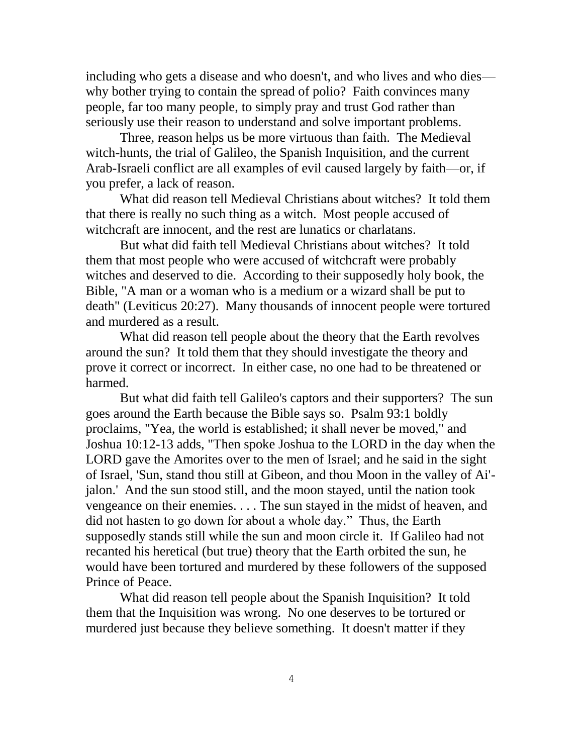including who gets a disease and who doesn't, and who lives and who dies why bother trying to contain the spread of polio? Faith convinces many people, far too many people, to simply pray and trust God rather than seriously use their reason to understand and solve important problems.

Three, reason helps us be more virtuous than faith. The Medieval witch-hunts, the trial of Galileo, the Spanish Inquisition, and the current Arab-Israeli conflict are all examples of evil caused largely by faith—or, if you prefer, a lack of reason.

What did reason tell Medieval Christians about witches? It told them that there is really no such thing as a witch. Most people accused of witchcraft are innocent, and the rest are lunatics or charlatans.

But what did faith tell Medieval Christians about witches? It told them that most people who were accused of witchcraft were probably witches and deserved to die. According to their supposedly holy book, the Bible, "A man or a woman who is a medium or a wizard shall be put to death" (Leviticus 20:27). Many thousands of innocent people were tortured and murdered as a result.

What did reason tell people about the theory that the Earth revolves around the sun? It told them that they should investigate the theory and prove it correct or incorrect. In either case, no one had to be threatened or harmed.

But what did faith tell Galileo's captors and their supporters? The sun goes around the Earth because the Bible says so. Psalm 93:1 boldly proclaims, "Yea, the world is established; it shall never be moved," and Joshua 10:12-13 adds, "Then spoke Joshua to the LORD in the day when the LORD gave the Amorites over to the men of Israel; and he said in the sight of Israel, 'Sun, stand thou still at Gibeon, and thou Moon in the valley of Ai' jalon.' And the sun stood still, and the moon stayed, until the nation took vengeance on their enemies. . . . The sun stayed in the midst of heaven, and did not hasten to go down for about a whole day." Thus, the Earth supposedly stands still while the sun and moon circle it. If Galileo had not recanted his heretical (but true) theory that the Earth orbited the sun, he would have been tortured and murdered by these followers of the supposed Prince of Peace.

What did reason tell people about the Spanish Inquisition? It told them that the Inquisition was wrong. No one deserves to be tortured or murdered just because they believe something. It doesn't matter if they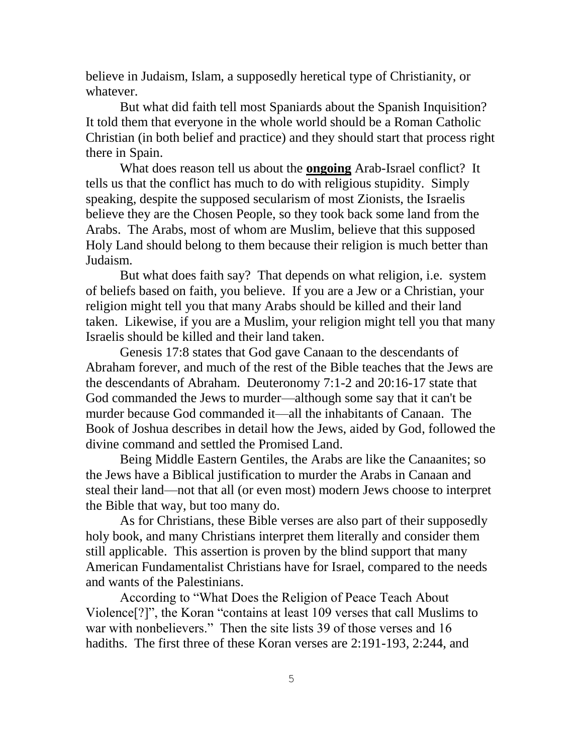believe in Judaism, Islam, a supposedly heretical type of Christianity, or whatever.

But what did faith tell most Spaniards about the Spanish Inquisition? It told them that everyone in the whole world should be a Roman Catholic Christian (in both belief and practice) and they should start that process right there in Spain.

What does reason tell us about the **ongoing** Arab-Israel conflict? It tells us that the conflict has much to do with religious stupidity. Simply speaking, despite the supposed secularism of most Zionists, the Israelis believe they are the Chosen People, so they took back some land from the Arabs. The Arabs, most of whom are Muslim, believe that this supposed Holy Land should belong to them because their religion is much better than Judaism.

But what does faith say? That depends on what religion, i.e. system of beliefs based on faith, you believe. If you are a Jew or a Christian, your religion might tell you that many Arabs should be killed and their land taken. Likewise, if you are a Muslim, your religion might tell you that many Israelis should be killed and their land taken.

Genesis 17:8 states that God gave Canaan to the descendants of Abraham forever, and much of the rest of the Bible teaches that the Jews are the descendants of Abraham. Deuteronomy 7:1-2 and 20:16-17 state that God commanded the Jews to murder—although some say that it can't be murder because God commanded it—all the inhabitants of Canaan. The Book of Joshua describes in detail how the Jews, aided by God, followed the divine command and settled the Promised Land.

Being Middle Eastern Gentiles, the Arabs are like the Canaanites; so the Jews have a Biblical justification to murder the Arabs in Canaan and steal their land—not that all (or even most) modern Jews choose to interpret the Bible that way, but too many do.

As for Christians, these Bible verses are also part of their supposedly holy book, and many Christians interpret them literally and consider them still applicable. This assertion is proven by the blind support that many American Fundamentalist Christians have for Israel, compared to the needs and wants of the Palestinians.

According to "What Does the Religion of Peace Teach About Violence<sup>[?]"</sup>, the Koran "contains at least 109 verses that call Muslims to war with nonbelievers." Then the site lists 39 of those verses and 16 hadiths. The first three of these Koran verses are 2:191-193, 2:244, and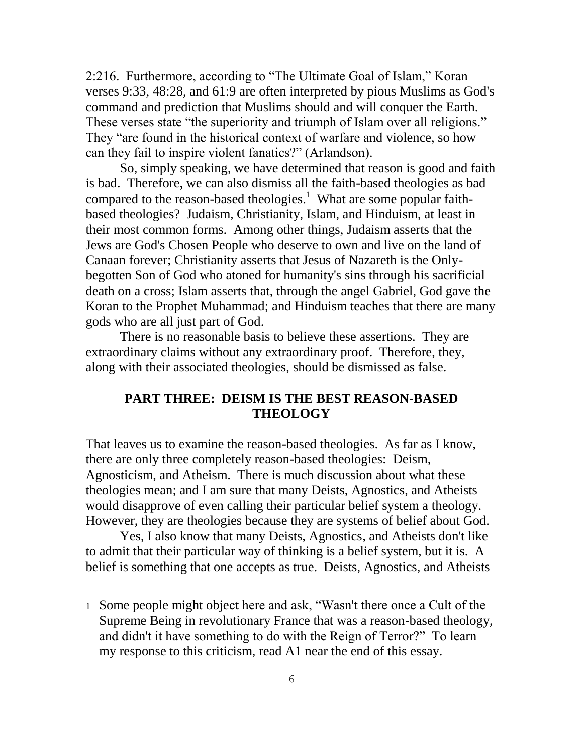2:216. Furthermore, according to "The Ultimate Goal of Islam," Koran verses 9:33, 48:28, and 61:9 are often interpreted by pious Muslims as God's command and prediction that Muslims should and will conquer the Earth. These verses state "the superiority and triumph of Islam over all religions." They "are found in the historical context of warfare and violence, so how can they fail to inspire violent fanatics?" (Arlandson).

So, simply speaking, we have determined that reason is good and faith is bad. Therefore, we can also dismiss all the faith-based theologies as bad compared to the reason-based theologies.<sup>1</sup> What are some popular faithbased theologies? Judaism, Christianity, Islam, and Hinduism, at least in their most common forms. Among other things, Judaism asserts that the Jews are God's Chosen People who deserve to own and live on the land of Canaan forever; Christianity asserts that Jesus of Nazareth is the Onlybegotten Son of God who atoned for humanity's sins through his sacrificial death on a cross; Islam asserts that, through the angel Gabriel, God gave the Koran to the Prophet Muhammad; and Hinduism teaches that there are many gods who are all just part of God.

There is no reasonable basis to believe these assertions. They are extraordinary claims without any extraordinary proof. Therefore, they, along with their associated theologies, should be dismissed as false.

### **PART THREE: DEISM IS THE BEST REASON-BASED THEOLOGY**

That leaves us to examine the reason-based theologies. As far as I know, there are only three completely reason-based theologies: Deism, Agnosticism, and Atheism. There is much discussion about what these theologies mean; and I am sure that many Deists, Agnostics, and Atheists would disapprove of even calling their particular belief system a theology. However, they are theologies because they are systems of belief about God.

Yes, I also know that many Deists, Agnostics, and Atheists don't like to admit that their particular way of thinking is a belief system, but it is. A belief is something that one accepts as true. Deists, Agnostics, and Atheists

<sup>1</sup> Some people might object here and ask, "Wasn't there once a Cult of the Supreme Being in revolutionary France that was a reason-based theology, and didn't it have something to do with the Reign of Terror?" To learn my response to this criticism, read A1 near the end of this essay.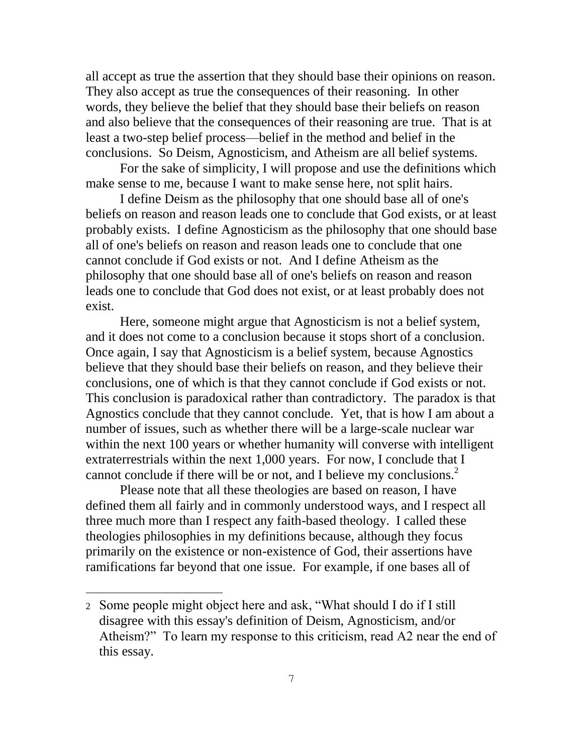all accept as true the assertion that they should base their opinions on reason. They also accept as true the consequences of their reasoning. In other words, they believe the belief that they should base their beliefs on reason and also believe that the consequences of their reasoning are true. That is at least a two-step belief process—belief in the method and belief in the conclusions. So Deism, Agnosticism, and Atheism are all belief systems.

For the sake of simplicity, I will propose and use the definitions which make sense to me, because I want to make sense here, not split hairs.

I define Deism as the philosophy that one should base all of one's beliefs on reason and reason leads one to conclude that God exists, or at least probably exists. I define Agnosticism as the philosophy that one should base all of one's beliefs on reason and reason leads one to conclude that one cannot conclude if God exists or not. And I define Atheism as the philosophy that one should base all of one's beliefs on reason and reason leads one to conclude that God does not exist, or at least probably does not exist.

Here, someone might argue that Agnosticism is not a belief system, and it does not come to a conclusion because it stops short of a conclusion. Once again, I say that Agnosticism is a belief system, because Agnostics believe that they should base their beliefs on reason, and they believe their conclusions, one of which is that they cannot conclude if God exists or not. This conclusion is paradoxical rather than contradictory. The paradox is that Agnostics conclude that they cannot conclude. Yet, that is how I am about a number of issues, such as whether there will be a large-scale nuclear war within the next 100 years or whether humanity will converse with intelligent extraterrestrials within the next 1,000 years. For now, I conclude that I cannot conclude if there will be or not, and I believe my conclusions.<sup>2</sup>

Please note that all these theologies are based on reason, I have defined them all fairly and in commonly understood ways, and I respect all three much more than I respect any faith-based theology. I called these theologies philosophies in my definitions because, although they focus primarily on the existence or non-existence of God, their assertions have ramifications far beyond that one issue. For example, if one bases all of

<sup>2</sup> Some people might object here and ask, "What should I do if I still disagree with this essay's definition of Deism, Agnosticism, and/or Atheism?" To learn my response to this criticism, read A2 near the end of this essay.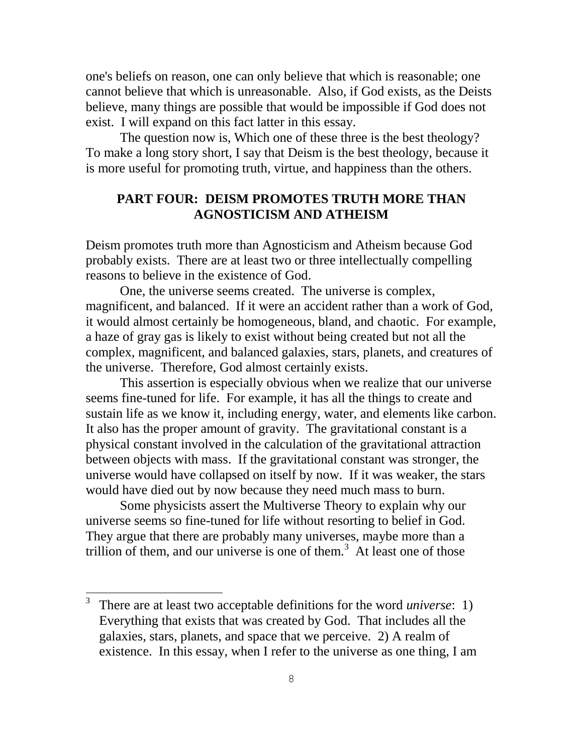one's beliefs on reason, one can only believe that which is reasonable; one cannot believe that which is unreasonable. Also, if God exists, as the Deists believe, many things are possible that would be impossible if God does not exist. I will expand on this fact latter in this essay.

The question now is, Which one of these three is the best theology? To make a long story short, I say that Deism is the best theology, because it is more useful for promoting truth, virtue, and happiness than the others.

## **PART FOUR: DEISM PROMOTES TRUTH MORE THAN AGNOSTICISM AND ATHEISM**

Deism promotes truth more than Agnosticism and Atheism because God probably exists. There are at least two or three intellectually compelling reasons to believe in the existence of God.

One, the universe seems created. The universe is complex, magnificent, and balanced. If it were an accident rather than a work of God, it would almost certainly be homogeneous, bland, and chaotic. For example, a haze of gray gas is likely to exist without being created but not all the complex, magnificent, and balanced galaxies, stars, planets, and creatures of the universe. Therefore, God almost certainly exists.

This assertion is especially obvious when we realize that our universe seems fine-tuned for life. For example, it has all the things to create and sustain life as we know it, including energy, water, and elements like carbon. It also has the proper amount of gravity. The gravitational constant is a physical constant involved in the calculation of the gravitational attraction between objects with mass. If the gravitational constant was stronger, the universe would have collapsed on itself by now. If it was weaker, the stars would have died out by now because they need much mass to burn.

Some physicists assert the Multiverse Theory to explain why our universe seems so fine-tuned for life without resorting to belief in God. They argue that there are probably many universes, maybe more than a trillion of them, and our universe is one of them.<sup>3</sup> At least one of those

<sup>3</sup> There are at least two acceptable definitions for the word *universe*: 1) Everything that exists that was created by God. That includes all the galaxies, stars, planets, and space that we perceive. 2) A realm of existence. In this essay, when I refer to the universe as one thing, I am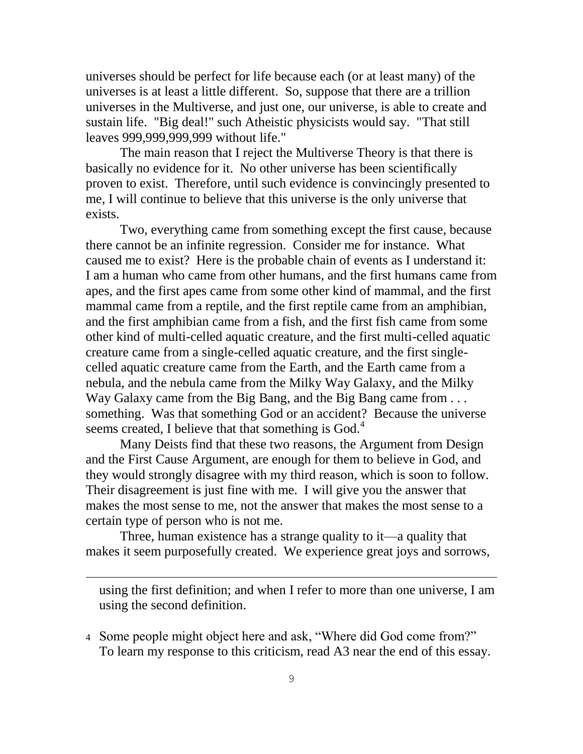universes should be perfect for life because each (or at least many) of the universes is at least a little different. So, suppose that there are a trillion universes in the Multiverse, and just one, our universe, is able to create and sustain life. "Big deal!" such Atheistic physicists would say. "That still leaves 999,999,999,999 without life."

The main reason that I reject the Multiverse Theory is that there is basically no evidence for it. No other universe has been scientifically proven to exist. Therefore, until such evidence is convincingly presented to me, I will continue to believe that this universe is the only universe that exists.

Two, everything came from something except the first cause, because there cannot be an infinite regression. Consider me for instance. What caused me to exist? Here is the probable chain of events as I understand it: I am a human who came from other humans, and the first humans came from apes, and the first apes came from some other kind of mammal, and the first mammal came from a reptile, and the first reptile came from an amphibian, and the first amphibian came from a fish, and the first fish came from some other kind of multi-celled aquatic creature, and the first multi-celled aquatic creature came from a single-celled aquatic creature, and the first singlecelled aquatic creature came from the Earth, and the Earth came from a nebula, and the nebula came from the Milky Way Galaxy, and the Milky Way Galaxy came from the Big Bang, and the Big Bang came from ... something. Was that something God or an accident? Because the universe seems created, I believe that that something is  $God.4$ 

Many Deists find that these two reasons, the Argument from Design and the First Cause Argument, are enough for them to believe in God, and they would strongly disagree with my third reason, which is soon to follow. Their disagreement is just fine with me. I will give you the answer that makes the most sense to me, not the answer that makes the most sense to a certain type of person who is not me.

Three, human existence has a strange quality to it—a quality that makes it seem purposefully created. We experience great joys and sorrows,

j.

using the first definition; and when I refer to more than one universe, I am using the second definition.

4 Some people might object here and ask, "Where did God come from?" To learn my response to this criticism, read A3 near the end of this essay.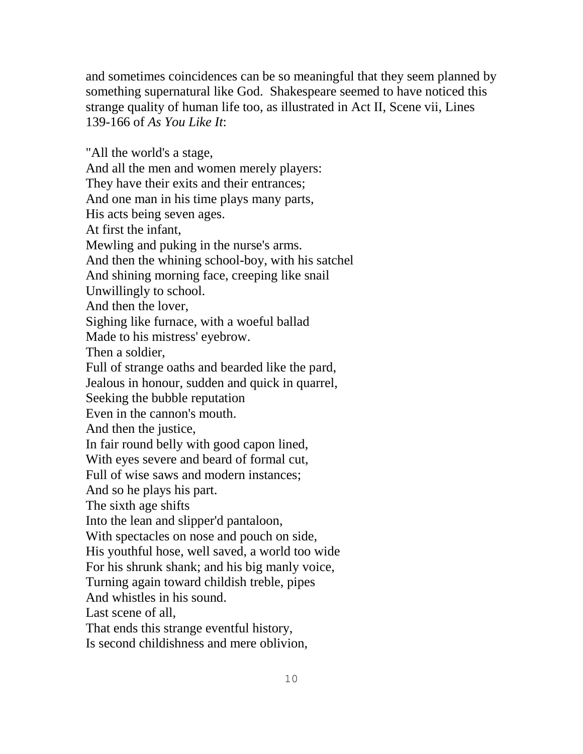and sometimes coincidences can be so meaningful that they seem planned by something supernatural like God. Shakespeare seemed to have noticed this strange quality of human life too, as illustrated in Act II, Scene vii, Lines 139-166 of *As You Like It*:

"All the world's a stage, And all the men and women merely players: They have their exits and their entrances; And one man in his time plays many parts, His acts being seven ages. At first the infant, Mewling and puking in the nurse's arms. And then the whining school-boy, with his satchel And shining morning face, creeping like snail Unwillingly to school. And then the lover, Sighing like furnace, with a woeful ballad Made to his mistress' eyebrow. Then a soldier, Full of strange oaths and bearded like the pard, Jealous in honour, sudden and quick in quarrel, Seeking the bubble reputation Even in the cannon's mouth. And then the justice, In fair round belly with good capon lined, With eyes severe and beard of formal cut, Full of wise saws and modern instances; And so he plays his part. The sixth age shifts Into the lean and slipper'd pantaloon, With spectacles on nose and pouch on side, His youthful hose, well saved, a world too wide For his shrunk shank; and his big manly voice, Turning again toward childish treble, pipes And whistles in his sound. Last scene of all, That ends this strange eventful history,

Is second childishness and mere oblivion,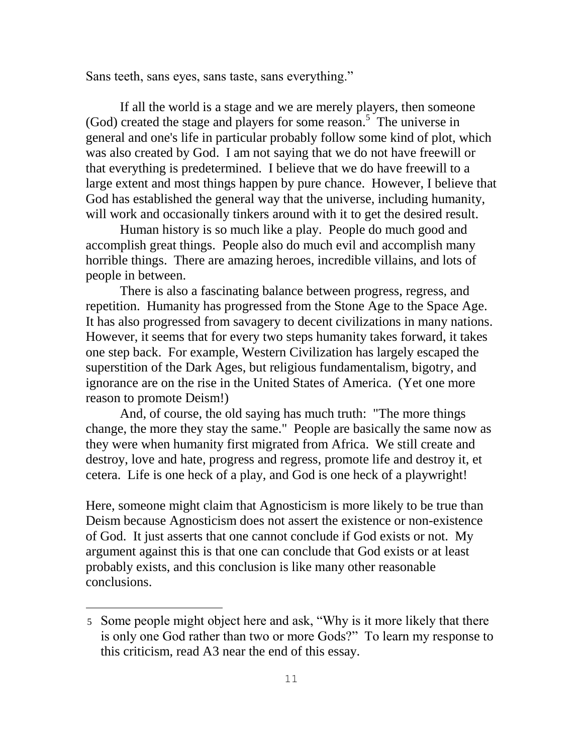Sans teeth, sans eyes, sans taste, sans everything."

If all the world is a stage and we are merely players, then someone  $(God)$  created the stage and players for some reason.<sup>5</sup> The universe in general and one's life in particular probably follow some kind of plot, which was also created by God. I am not saying that we do not have freewill or that everything is predetermined. I believe that we do have freewill to a large extent and most things happen by pure chance. However, I believe that God has established the general way that the universe, including humanity, will work and occasionally tinkers around with it to get the desired result.

Human history is so much like a play. People do much good and accomplish great things. People also do much evil and accomplish many horrible things. There are amazing heroes, incredible villains, and lots of people in between.

There is also a fascinating balance between progress, regress, and repetition. Humanity has progressed from the Stone Age to the Space Age. It has also progressed from savagery to decent civilizations in many nations. However, it seems that for every two steps humanity takes forward, it takes one step back. For example, Western Civilization has largely escaped the superstition of the Dark Ages, but religious fundamentalism, bigotry, and ignorance are on the rise in the United States of America. (Yet one more reason to promote Deism!)

And, of course, the old saying has much truth: "The more things change, the more they stay the same." People are basically the same now as they were when humanity first migrated from Africa. We still create and destroy, love and hate, progress and regress, promote life and destroy it, et cetera. Life is one heck of a play, and God is one heck of a playwright!

Here, someone might claim that Agnosticism is more likely to be true than Deism because Agnosticism does not assert the existence or non-existence of God. It just asserts that one cannot conclude if God exists or not. My argument against this is that one can conclude that God exists or at least probably exists, and this conclusion is like many other reasonable conclusions.

<sup>5</sup> Some people might object here and ask, "Why is it more likely that there is only one God rather than two or more Gods?" To learn my response to this criticism, read A3 near the end of this essay.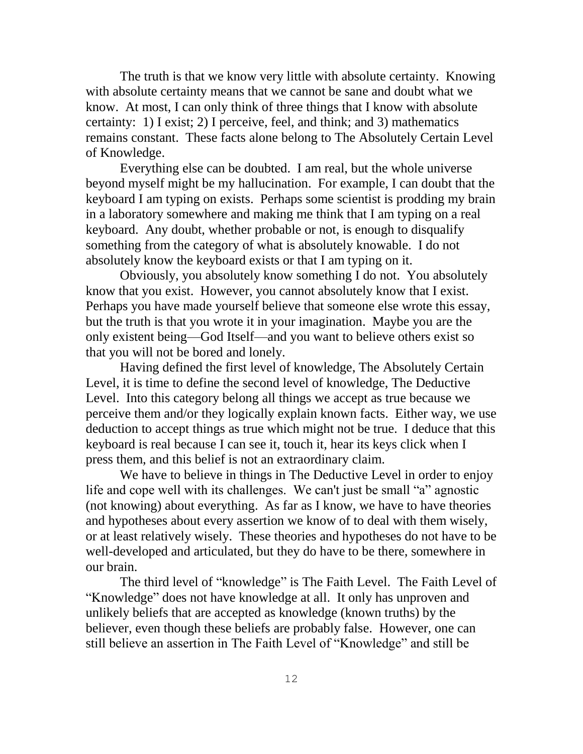The truth is that we know very little with absolute certainty. Knowing with absolute certainty means that we cannot be sane and doubt what we know. At most, I can only think of three things that I know with absolute certainty: 1) I exist; 2) I perceive, feel, and think; and 3) mathematics remains constant. These facts alone belong to The Absolutely Certain Level of Knowledge.

Everything else can be doubted. I am real, but the whole universe beyond myself might be my hallucination. For example, I can doubt that the keyboard I am typing on exists. Perhaps some scientist is prodding my brain in a laboratory somewhere and making me think that I am typing on a real keyboard. Any doubt, whether probable or not, is enough to disqualify something from the category of what is absolutely knowable. I do not absolutely know the keyboard exists or that I am typing on it.

Obviously, you absolutely know something I do not. You absolutely know that you exist. However, you cannot absolutely know that I exist. Perhaps you have made yourself believe that someone else wrote this essay, but the truth is that you wrote it in your imagination. Maybe you are the only existent being—God Itself—and you want to believe others exist so that you will not be bored and lonely.

Having defined the first level of knowledge, The Absolutely Certain Level, it is time to define the second level of knowledge, The Deductive Level. Into this category belong all things we accept as true because we perceive them and/or they logically explain known facts. Either way, we use deduction to accept things as true which might not be true. I deduce that this keyboard is real because I can see it, touch it, hear its keys click when I press them, and this belief is not an extraordinary claim.

We have to believe in things in The Deductive Level in order to enjoy life and cope well with its challenges. We can't just be small "a" agnostic (not knowing) about everything. As far as I know, we have to have theories and hypotheses about every assertion we know of to deal with them wisely, or at least relatively wisely. These theories and hypotheses do not have to be well-developed and articulated, but they do have to be there, somewhere in our brain.

The third level of "knowledge" is The Faith Level. The Faith Level of "Knowledge" does not have knowledge at all. It only has unproven and unlikely beliefs that are accepted as knowledge (known truths) by the believer, even though these beliefs are probably false. However, one can still believe an assertion in The Faith Level of "Knowledge" and still be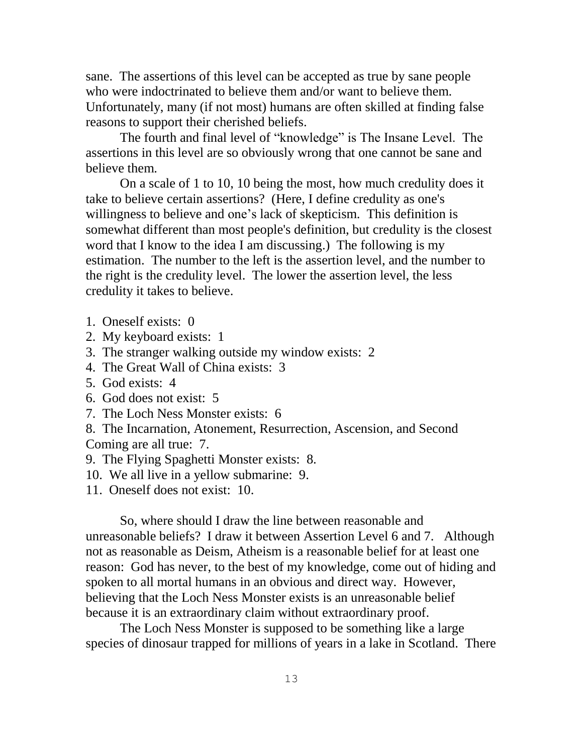sane. The assertions of this level can be accepted as true by sane people who were indoctrinated to believe them and/or want to believe them. Unfortunately, many (if not most) humans are often skilled at finding false reasons to support their cherished beliefs.

The fourth and final level of "knowledge" is The Insane Level. The assertions in this level are so obviously wrong that one cannot be sane and believe them.

On a scale of 1 to 10, 10 being the most, how much credulity does it take to believe certain assertions? (Here, I define credulity as one's willingness to believe and one's lack of skepticism. This definition is somewhat different than most people's definition, but credulity is the closest word that I know to the idea I am discussing.) The following is my estimation. The number to the left is the assertion level, and the number to the right is the credulity level. The lower the assertion level, the less credulity it takes to believe.

- 1. Oneself exists: 0
- 2. My keyboard exists: 1
- 3. The stranger walking outside my window exists: 2
- 4. The Great Wall of China exists: 3
- 5. God exists: 4
- 6. God does not exist: 5
- 7. The Loch Ness Monster exists: 6

8. The Incarnation, Atonement, Resurrection, Ascension, and Second Coming are all true: 7.

- 9. The Flying Spaghetti Monster exists: 8.
- 10. We all live in a yellow submarine: 9.
- 11. Oneself does not exist: 10.

So, where should I draw the line between reasonable and unreasonable beliefs? I draw it between Assertion Level 6 and 7. Although not as reasonable as Deism, Atheism is a reasonable belief for at least one reason: God has never, to the best of my knowledge, come out of hiding and spoken to all mortal humans in an obvious and direct way. However, believing that the Loch Ness Monster exists is an unreasonable belief because it is an extraordinary claim without extraordinary proof.

The Loch Ness Monster is supposed to be something like a large species of dinosaur trapped for millions of years in a lake in Scotland. There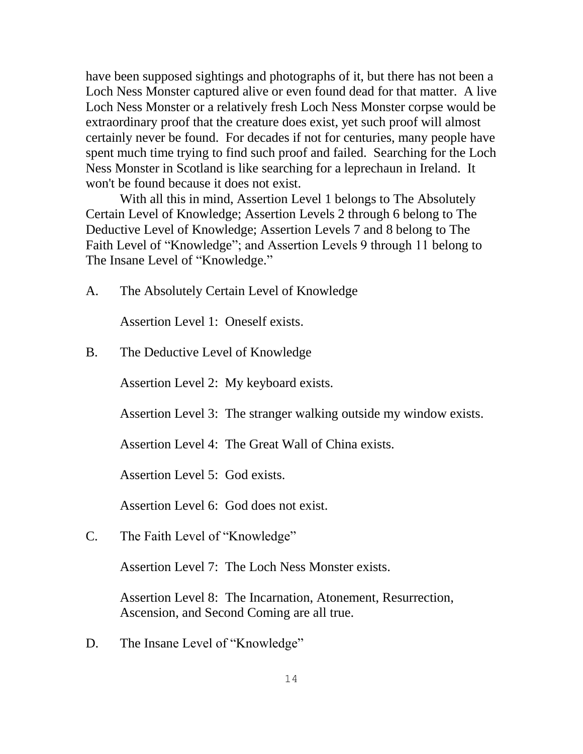have been supposed sightings and photographs of it, but there has not been a Loch Ness Monster captured alive or even found dead for that matter. A live Loch Ness Monster or a relatively fresh Loch Ness Monster corpse would be extraordinary proof that the creature does exist, yet such proof will almost certainly never be found. For decades if not for centuries, many people have spent much time trying to find such proof and failed. Searching for the Loch Ness Monster in Scotland is like searching for a leprechaun in Ireland. It won't be found because it does not exist.

With all this in mind, Assertion Level 1 belongs to The Absolutely Certain Level of Knowledge; Assertion Levels 2 through 6 belong to The Deductive Level of Knowledge; Assertion Levels 7 and 8 belong to The Faith Level of "Knowledge"; and Assertion Levels 9 through 11 belong to The Insane Level of "Knowledge."

A. The Absolutely Certain Level of Knowledge

Assertion Level 1: Oneself exists.

B. The Deductive Level of Knowledge

Assertion Level 2: My keyboard exists.

Assertion Level 3: The stranger walking outside my window exists.

Assertion Level 4: The Great Wall of China exists.

Assertion Level 5: God exists.

Assertion Level 6: God does not exist.

C. The Faith Level of "Knowledge"

Assertion Level 7: The Loch Ness Monster exists.

Assertion Level 8: The Incarnation, Atonement, Resurrection, Ascension, and Second Coming are all true.

D. The Insane Level of "Knowledge"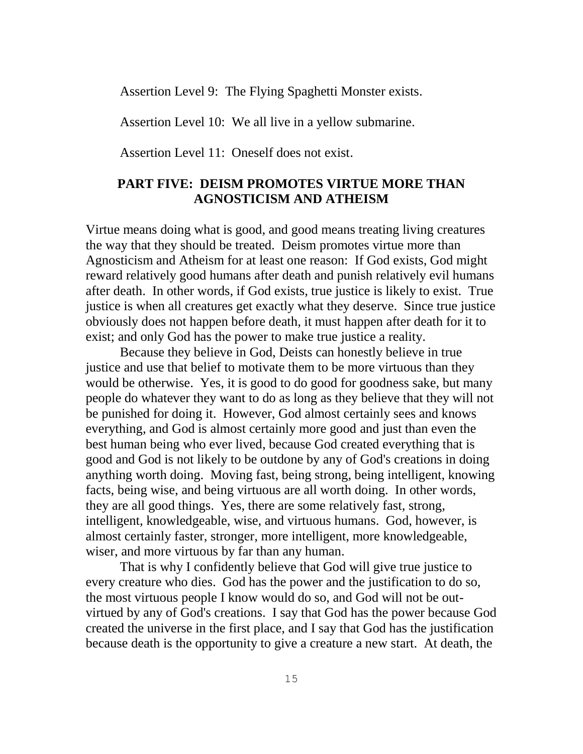Assertion Level 9: The Flying Spaghetti Monster exists.

Assertion Level 10: We all live in a yellow submarine.

Assertion Level 11: Oneself does not exist.

### **PART FIVE: DEISM PROMOTES VIRTUE MORE THAN AGNOSTICISM AND ATHEISM**

Virtue means doing what is good, and good means treating living creatures the way that they should be treated. Deism promotes virtue more than Agnosticism and Atheism for at least one reason: If God exists, God might reward relatively good humans after death and punish relatively evil humans after death. In other words, if God exists, true justice is likely to exist. True justice is when all creatures get exactly what they deserve. Since true justice obviously does not happen before death, it must happen after death for it to exist; and only God has the power to make true justice a reality.

Because they believe in God, Deists can honestly believe in true justice and use that belief to motivate them to be more virtuous than they would be otherwise. Yes, it is good to do good for goodness sake, but many people do whatever they want to do as long as they believe that they will not be punished for doing it. However, God almost certainly sees and knows everything, and God is almost certainly more good and just than even the best human being who ever lived, because God created everything that is good and God is not likely to be outdone by any of God's creations in doing anything worth doing. Moving fast, being strong, being intelligent, knowing facts, being wise, and being virtuous are all worth doing. In other words, they are all good things. Yes, there are some relatively fast, strong, intelligent, knowledgeable, wise, and virtuous humans. God, however, is almost certainly faster, stronger, more intelligent, more knowledgeable, wiser, and more virtuous by far than any human.

That is why I confidently believe that God will give true justice to every creature who dies. God has the power and the justification to do so, the most virtuous people I know would do so, and God will not be outvirtued by any of God's creations. I say that God has the power because God created the universe in the first place, and I say that God has the justification because death is the opportunity to give a creature a new start. At death, the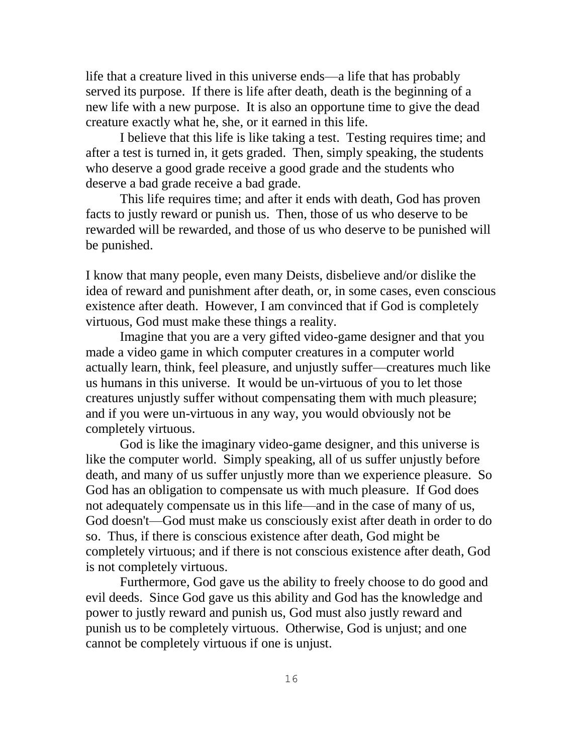life that a creature lived in this universe ends—a life that has probably served its purpose. If there is life after death, death is the beginning of a new life with a new purpose. It is also an opportune time to give the dead creature exactly what he, she, or it earned in this life.

I believe that this life is like taking a test. Testing requires time; and after a test is turned in, it gets graded. Then, simply speaking, the students who deserve a good grade receive a good grade and the students who deserve a bad grade receive a bad grade.

This life requires time; and after it ends with death, God has proven facts to justly reward or punish us. Then, those of us who deserve to be rewarded will be rewarded, and those of us who deserve to be punished will be punished.

I know that many people, even many Deists, disbelieve and/or dislike the idea of reward and punishment after death, or, in some cases, even conscious existence after death. However, I am convinced that if God is completely virtuous, God must make these things a reality.

Imagine that you are a very gifted video-game designer and that you made a video game in which computer creatures in a computer world actually learn, think, feel pleasure, and unjustly suffer—creatures much like us humans in this universe. It would be un-virtuous of you to let those creatures unjustly suffer without compensating them with much pleasure; and if you were un-virtuous in any way, you would obviously not be completely virtuous.

God is like the imaginary video-game designer, and this universe is like the computer world. Simply speaking, all of us suffer unjustly before death, and many of us suffer unjustly more than we experience pleasure. So God has an obligation to compensate us with much pleasure. If God does not adequately compensate us in this life—and in the case of many of us, God doesn't—God must make us consciously exist after death in order to do so. Thus, if there is conscious existence after death, God might be completely virtuous; and if there is not conscious existence after death, God is not completely virtuous.

Furthermore, God gave us the ability to freely choose to do good and evil deeds. Since God gave us this ability and God has the knowledge and power to justly reward and punish us, God must also justly reward and punish us to be completely virtuous. Otherwise, God is unjust; and one cannot be completely virtuous if one is unjust.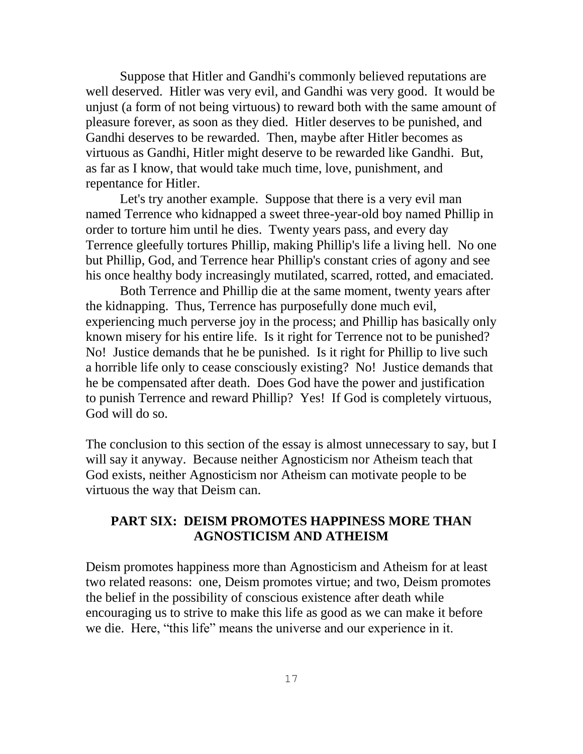Suppose that Hitler and Gandhi's commonly believed reputations are well deserved. Hitler was very evil, and Gandhi was very good. It would be unjust (a form of not being virtuous) to reward both with the same amount of pleasure forever, as soon as they died. Hitler deserves to be punished, and Gandhi deserves to be rewarded. Then, maybe after Hitler becomes as virtuous as Gandhi, Hitler might deserve to be rewarded like Gandhi. But, as far as I know, that would take much time, love, punishment, and repentance for Hitler.

Let's try another example. Suppose that there is a very evil man named Terrence who kidnapped a sweet three-year-old boy named Phillip in order to torture him until he dies. Twenty years pass, and every day Terrence gleefully tortures Phillip, making Phillip's life a living hell. No one but Phillip, God, and Terrence hear Phillip's constant cries of agony and see his once healthy body increasingly mutilated, scarred, rotted, and emaciated.

Both Terrence and Phillip die at the same moment, twenty years after the kidnapping. Thus, Terrence has purposefully done much evil, experiencing much perverse joy in the process; and Phillip has basically only known misery for his entire life. Is it right for Terrence not to be punished? No! Justice demands that he be punished. Is it right for Phillip to live such a horrible life only to cease consciously existing? No! Justice demands that he be compensated after death. Does God have the power and justification to punish Terrence and reward Phillip? Yes! If God is completely virtuous, God will do so.

The conclusion to this section of the essay is almost unnecessary to say, but I will say it anyway. Because neither Agnosticism nor Atheism teach that God exists, neither Agnosticism nor Atheism can motivate people to be virtuous the way that Deism can.

### **PART SIX: DEISM PROMOTES HAPPINESS MORE THAN AGNOSTICISM AND ATHEISM**

Deism promotes happiness more than Agnosticism and Atheism for at least two related reasons: one, Deism promotes virtue; and two, Deism promotes the belief in the possibility of conscious existence after death while encouraging us to strive to make this life as good as we can make it before we die. Here, "this life" means the universe and our experience in it.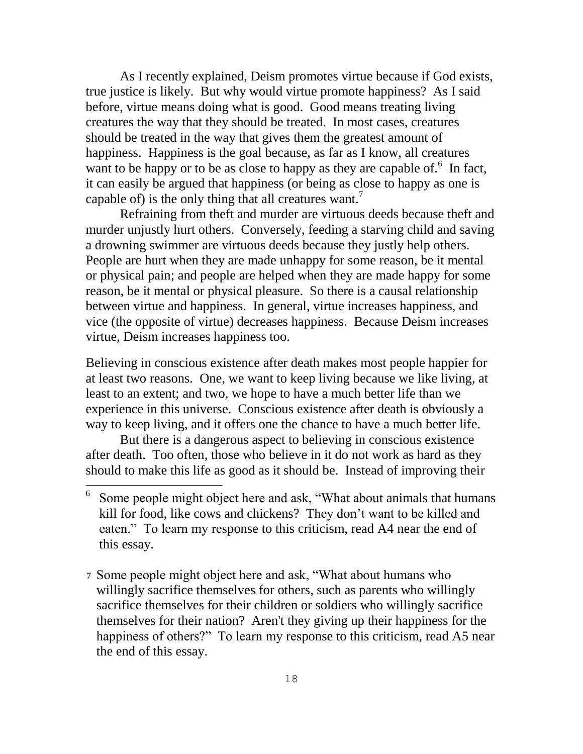As I recently explained, Deism promotes virtue because if God exists, true justice is likely. But why would virtue promote happiness? As I said before, virtue means doing what is good. Good means treating living creatures the way that they should be treated. In most cases, creatures should be treated in the way that gives them the greatest amount of happiness. Happiness is the goal because, as far as I know, all creatures want to be happy or to be as close to happy as they are capable of. $6\,$  In fact, it can easily be argued that happiness (or being as close to happy as one is capable of) is the only thing that all creatures want.<sup>7</sup>

Refraining from theft and murder are virtuous deeds because theft and murder unjustly hurt others. Conversely, feeding a starving child and saving a drowning swimmer are virtuous deeds because they justly help others. People are hurt when they are made unhappy for some reason, be it mental or physical pain; and people are helped when they are made happy for some reason, be it mental or physical pleasure. So there is a causal relationship between virtue and happiness. In general, virtue increases happiness, and vice (the opposite of virtue) decreases happiness. Because Deism increases virtue, Deism increases happiness too.

Believing in conscious existence after death makes most people happier for at least two reasons. One, we want to keep living because we like living, at least to an extent; and two, we hope to have a much better life than we experience in this universe. Conscious existence after death is obviously a way to keep living, and it offers one the chance to have a much better life.

But there is a dangerous aspect to believing in conscious existence after death. Too often, those who believe in it do not work as hard as they should to make this life as good as it should be. Instead of improving their

i.

7 Some people might object here and ask, "What about humans who willingly sacrifice themselves for others, such as parents who willingly sacrifice themselves for their children or soldiers who willingly sacrifice themselves for their nation? Aren't they giving up their happiness for the happiness of others?" To learn my response to this criticism, read A5 near the end of this essay.

<sup>6</sup> Some people might object here and ask, "What about animals that humans" kill for food, like cows and chickens? They don't want to be killed and eaten." To learn my response to this criticism, read A4 near the end of this essay.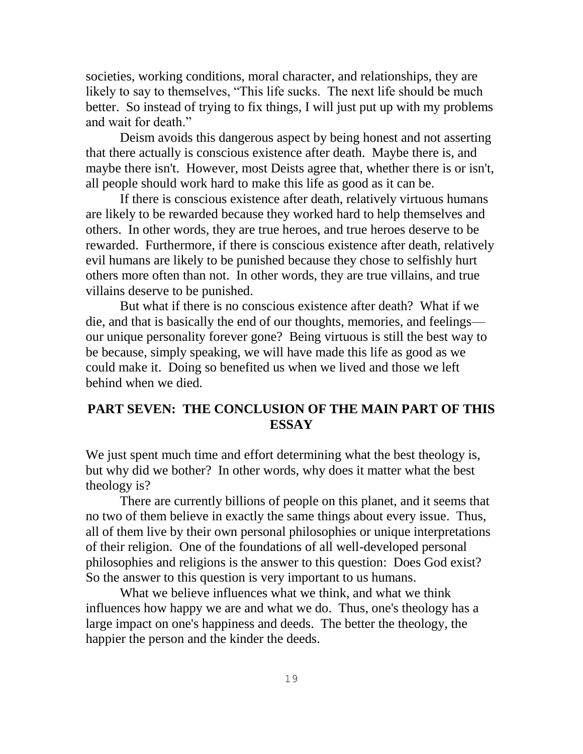societies, working conditions, moral character, and relationships, they are likely to say to themselves, "This life sucks. The next life should be much better. So instead of trying to fix things, I will just put up with my problems and wait for death."

Deism avoids this dangerous aspect by being honest and not asserting that there actually is conscious existence after death. Maybe there is, and maybe there isn't. However, most Deists agree that, whether there is or isn't, all people should work hard to make this life as good as it can be.

If there is conscious existence after death, relatively virtuous humans are likely to be rewarded because they worked hard to help themselves and others. In other words, they are true heroes, and true heroes deserve to be rewarded. Furthermore, if there is conscious existence after death, relatively evil humans are likely to be punished because they chose to selfishly hurt others more often than not. In other words, they are true villains, and true villains deserve to be punished.

But what if there is no conscious existence after death? What if we die, and that is basically the end of our thoughts, memories, and feelings our unique personality forever gone? Being virtuous is still the best way to be because, simply speaking, we will have made this life as good as we could make it. Doing so benefited us when we lived and those we left behind when we died.

## **PART SEVEN: THE CONCLUSION OF THE MAIN PART OF THIS ESSAY**

We just spent much time and effort determining what the best theology is, but why did we bother? In other words, why does it matter what the best theology is?

There are currently billions of people on this planet, and it seems that no two of them believe in exactly the same things about every issue. Thus, all of them live by their own personal philosophies or unique interpretations of their religion. One of the foundations of all well-developed personal philosophies and religions is the answer to this question: Does God exist? So the answer to this question is very important to us humans.

What we believe influences what we think, and what we think influences how happy we are and what we do. Thus, one's theology has a large impact on one's happiness and deeds. The better the theology, the happier the person and the kinder the deeds.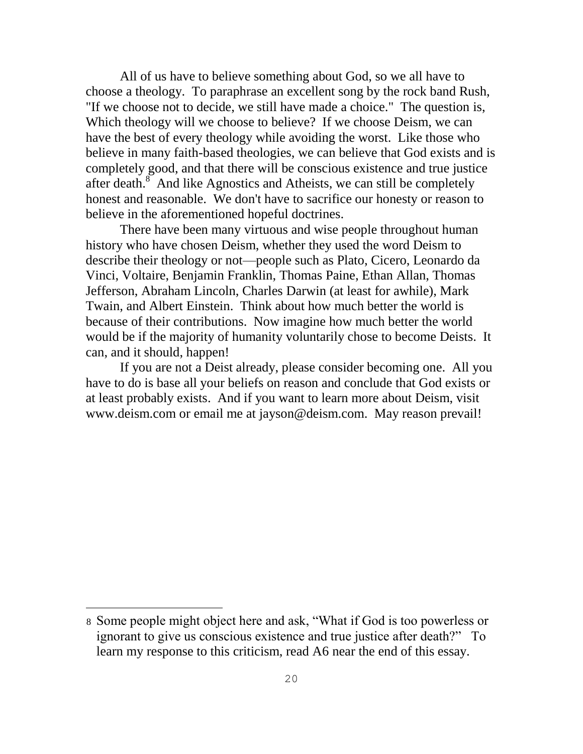All of us have to believe something about God, so we all have to choose a theology. To paraphrase an excellent song by the rock band Rush, "If we choose not to decide, we still have made a choice." The question is, Which theology will we choose to believe? If we choose Deism, we can have the best of every theology while avoiding the worst. Like those who believe in many faith-based theologies, we can believe that God exists and is completely good, and that there will be conscious existence and true justice after death.<sup>8</sup> And like Agnostics and Atheists, we can still be completely honest and reasonable. We don't have to sacrifice our honesty or reason to believe in the aforementioned hopeful doctrines.

There have been many virtuous and wise people throughout human history who have chosen Deism, whether they used the word Deism to describe their theology or not—people such as Plato, Cicero, Leonardo da Vinci, Voltaire, Benjamin Franklin, Thomas Paine, Ethan Allan, Thomas Jefferson, Abraham Lincoln, Charles Darwin (at least for awhile), Mark Twain, and Albert Einstein. Think about how much better the world is because of their contributions. Now imagine how much better the world would be if the majority of humanity voluntarily chose to become Deists. It can, and it should, happen!

If you are not a Deist already, please consider becoming one. All you have to do is base all your beliefs on reason and conclude that God exists or at least probably exists. And if you want to learn more about Deism, visit [www.deism.com](http://www.deism.com/) or email me at [jayson@deism.com.](mailto:jayson@deism.com) May reason prevail!

<sup>8</sup> Some people might object here and ask, "What if God is too powerless or ignorant to give us conscious existence and true justice after death?" To learn my response to this criticism, read A6 near the end of this essay.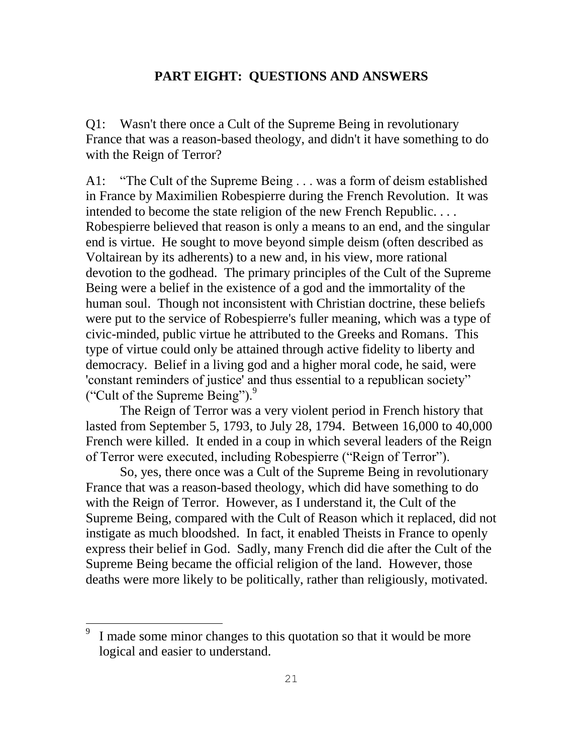#### **PART EIGHT: QUESTIONS AND ANSWERS**

Q1: Wasn't there once a Cult of the Supreme Being in revolutionary France that was a reason-based theology, and didn't it have something to do with the Reign of Terror?

A1: "The Cult of the Supreme Being . . . was a form of deism established in France by Maximilien Robespierre during the French Revolution. It was intended to become the state religion of the new French Republic. . . . Robespierre believed that reason is only a means to an end, and the singular end is virtue. He sought to move beyond simple deism (often described as Voltairean by its adherents) to a new and, in his view, more rational devotion to the godhead. The primary principles of the Cult of the Supreme Being were a belief in the existence of a god and the immortality of the human soul. Though not inconsistent with Christian doctrine, these beliefs were put to the service of Robespierre's fuller meaning, which was a type of civic-minded, public virtue he attributed to the Greeks and Romans. This type of virtue could only be attained through active fidelity to liberty and democracy. Belief in a living god and a higher moral code, he said, were 'constant reminders of justice' and thus essential to a republican society" ("Cult of the Supreme Being"). $9$ 

The Reign of Terror was a very violent period in French history that lasted from September 5, 1793, to July 28, 1794. Between 16,000 to 40,000 French were killed. It ended in a coup in which several leaders of the Reign of Terror were executed, including Robespierre ("Reign of Terror").

So, yes, there once was a Cult of the Supreme Being in revolutionary France that was a reason-based theology, which did have something to do with the Reign of Terror. However, as I understand it, the Cult of the Supreme Being, compared with the Cult of Reason which it replaced, did not instigate as much bloodshed. In fact, it enabled Theists in France to openly express their belief in God. Sadly, many French did die after the Cult of the Supreme Being became the official religion of the land. However, those deaths were more likely to be politically, rather than religiously, motivated.

<sup>9</sup> I made some minor changes to this quotation so that it would be more logical and easier to understand.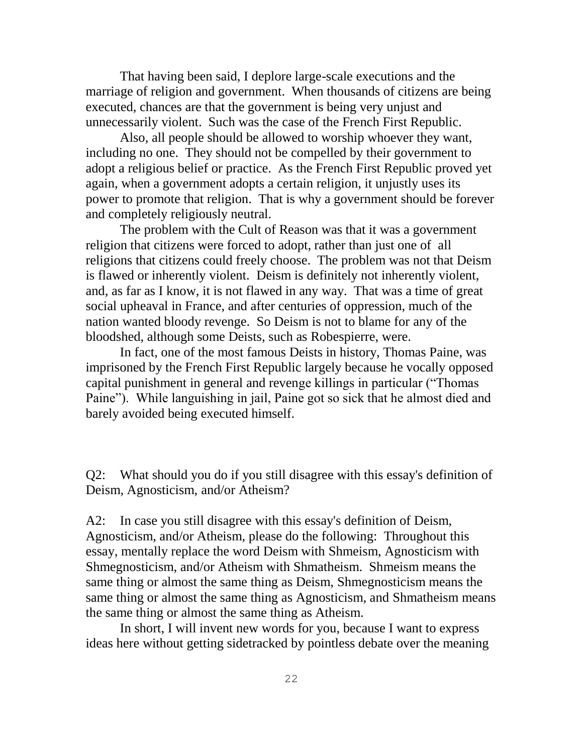That having been said, I deplore large-scale executions and the marriage of religion and government. When thousands of citizens are being executed, chances are that the government is being very unjust and unnecessarily violent. Such was the case of the French First Republic.

Also, all people should be allowed to worship whoever they want, including no one. They should not be compelled by their government to adopt a religious belief or practice. As the French First Republic proved yet again, when a government adopts a certain religion, it unjustly uses its power to promote that religion. That is why a government should be forever and completely religiously neutral.

The problem with the Cult of Reason was that it was a government religion that citizens were forced to adopt, rather than just one of all religions that citizens could freely choose. The problem was not that Deism is flawed or inherently violent. Deism is definitely not inherently violent, and, as far as I know, it is not flawed in any way. That was a time of great social upheaval in France, and after centuries of oppression, much of the nation wanted bloody revenge. So Deism is not to blame for any of the bloodshed, although some Deists, such as Robespierre, were.

In fact, one of the most famous Deists in history, Thomas Paine, was imprisoned by the French First Republic largely because he vocally opposed capital punishment in general and revenge killings in particular ("Thomas") Paine"). While languishing in jail, Paine got so sick that he almost died and barely avoided being executed himself.

Q2: What should you do if you still disagree with this essay's definition of Deism, Agnosticism, and/or Atheism?

A2: In case you still disagree with this essay's definition of Deism, Agnosticism, and/or Atheism, please do the following: Throughout this essay, mentally replace the word Deism with Shmeism, Agnosticism with Shmegnosticism, and/or Atheism with Shmatheism. Shmeism means the same thing or almost the same thing as Deism, Shmegnosticism means the same thing or almost the same thing as Agnosticism, and Shmatheism means the same thing or almost the same thing as Atheism.

In short, I will invent new words for you, because I want to express ideas here without getting sidetracked by pointless debate over the meaning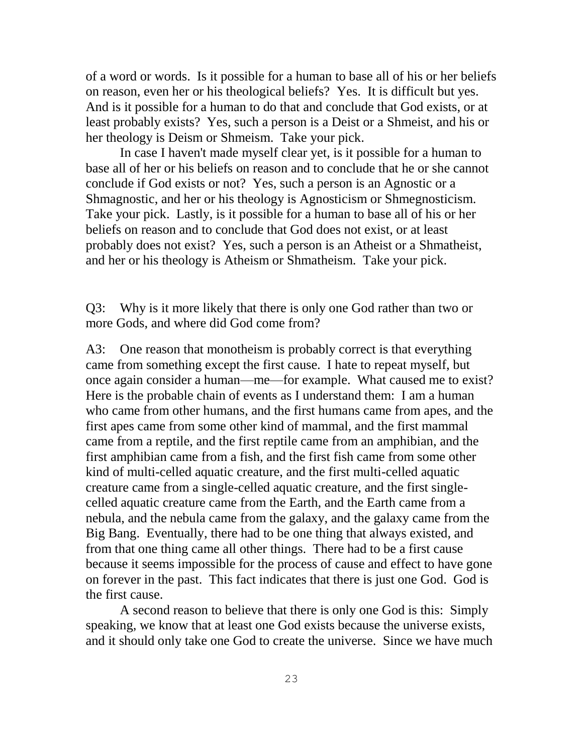of a word or words. Is it possible for a human to base all of his or her beliefs on reason, even her or his theological beliefs? Yes. It is difficult but yes. And is it possible for a human to do that and conclude that God exists, or at least probably exists? Yes, such a person is a Deist or a Shmeist, and his or her theology is Deism or Shmeism. Take your pick.

In case I haven't made myself clear yet, is it possible for a human to base all of her or his beliefs on reason and to conclude that he or she cannot conclude if God exists or not? Yes, such a person is an Agnostic or a Shmagnostic, and her or his theology is Agnosticism or Shmegnosticism. Take your pick. Lastly, is it possible for a human to base all of his or her beliefs on reason and to conclude that God does not exist, or at least probably does not exist? Yes, such a person is an Atheist or a Shmatheist, and her or his theology is Atheism or Shmatheism. Take your pick.

Q3: Why is it more likely that there is only one God rather than two or more Gods, and where did God come from?

A3: One reason that monotheism is probably correct is that everything came from something except the first cause. I hate to repeat myself, but once again consider a human—me—for example. What caused me to exist? Here is the probable chain of events as I understand them: I am a human who came from other humans, and the first humans came from apes, and the first apes came from some other kind of mammal, and the first mammal came from a reptile, and the first reptile came from an amphibian, and the first amphibian came from a fish, and the first fish came from some other kind of multi-celled aquatic creature, and the first multi-celled aquatic creature came from a single-celled aquatic creature, and the first singlecelled aquatic creature came from the Earth, and the Earth came from a nebula, and the nebula came from the galaxy, and the galaxy came from the Big Bang. Eventually, there had to be one thing that always existed, and from that one thing came all other things. There had to be a first cause because it seems impossible for the process of cause and effect to have gone on forever in the past. This fact indicates that there is just one God. God is the first cause.

A second reason to believe that there is only one God is this: Simply speaking, we know that at least one God exists because the universe exists, and it should only take one God to create the universe. Since we have much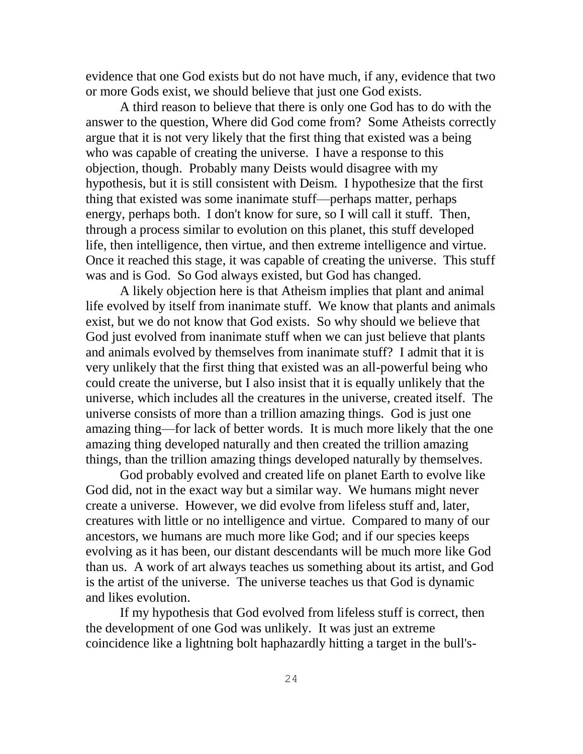evidence that one God exists but do not have much, if any, evidence that two or more Gods exist, we should believe that just one God exists.

A third reason to believe that there is only one God has to do with the answer to the question, Where did God come from? Some Atheists correctly argue that it is not very likely that the first thing that existed was a being who was capable of creating the universe. I have a response to this objection, though. Probably many Deists would disagree with my hypothesis, but it is still consistent with Deism. I hypothesize that the first thing that existed was some inanimate stuff—perhaps matter, perhaps energy, perhaps both. I don't know for sure, so I will call it stuff. Then, through a process similar to evolution on this planet, this stuff developed life, then intelligence, then virtue, and then extreme intelligence and virtue. Once it reached this stage, it was capable of creating the universe. This stuff was and is God. So God always existed, but God has changed.

A likely objection here is that Atheism implies that plant and animal life evolved by itself from inanimate stuff. We know that plants and animals exist, but we do not know that God exists. So why should we believe that God just evolved from inanimate stuff when we can just believe that plants and animals evolved by themselves from inanimate stuff? I admit that it is very unlikely that the first thing that existed was an all-powerful being who could create the universe, but I also insist that it is equally unlikely that the universe, which includes all the creatures in the universe, created itself. The universe consists of more than a trillion amazing things. God is just one amazing thing—for lack of better words. It is much more likely that the one amazing thing developed naturally and then created the trillion amazing things, than the trillion amazing things developed naturally by themselves.

God probably evolved and created life on planet Earth to evolve like God did, not in the exact way but a similar way. We humans might never create a universe. However, we did evolve from lifeless stuff and, later, creatures with little or no intelligence and virtue. Compared to many of our ancestors, we humans are much more like God; and if our species keeps evolving as it has been, our distant descendants will be much more like God than us. A work of art always teaches us something about its artist, and God is the artist of the universe. The universe teaches us that God is dynamic and likes evolution.

If my hypothesis that God evolved from lifeless stuff is correct, then the development of one God was unlikely. It was just an extreme coincidence like a lightning bolt haphazardly hitting a target in the bull's-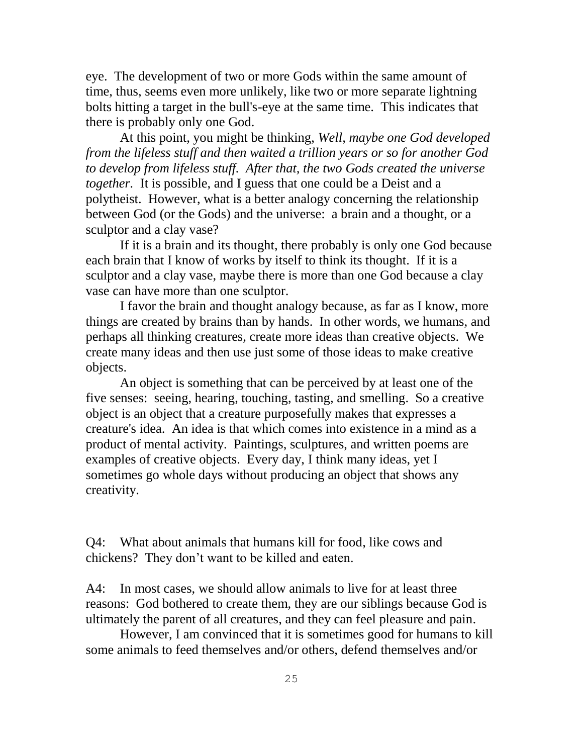eye. The development of two or more Gods within the same amount of time, thus, seems even more unlikely, like two or more separate lightning bolts hitting a target in the bull's-eye at the same time. This indicates that there is probably only one God.

At this point, you might be thinking, *Well, maybe one God developed from the lifeless stuff and then waited a trillion years or so for another God to develop from lifeless stuff. After that, the two Gods created the universe together.* It is possible, and I guess that one could be a Deist and a polytheist. However, what is a better analogy concerning the relationship between God (or the Gods) and the universe: a brain and a thought, or a sculptor and a clay vase?

If it is a brain and its thought, there probably is only one God because each brain that I know of works by itself to think its thought. If it is a sculptor and a clay vase, maybe there is more than one God because a clay vase can have more than one sculptor.

I favor the brain and thought analogy because, as far as I know, more things are created by brains than by hands. In other words, we humans, and perhaps all thinking creatures, create more ideas than creative objects. We create many ideas and then use just some of those ideas to make creative objects.

An object is something that can be perceived by at least one of the five senses: seeing, hearing, touching, tasting, and smelling. So a creative object is an object that a creature purposefully makes that expresses a creature's idea. An idea is that which comes into existence in a mind as a product of mental activity. Paintings, sculptures, and written poems are examples of creative objects. Every day, I think many ideas, yet I sometimes go whole days without producing an object that shows any creativity.

Q4: What about animals that humans kill for food, like cows and chickens? They don't want to be killed and eaten.

A4: In most cases, we should allow animals to live for at least three reasons: God bothered to create them, they are our siblings because God is ultimately the parent of all creatures, and they can feel pleasure and pain.

However, I am convinced that it is sometimes good for humans to kill some animals to feed themselves and/or others, defend themselves and/or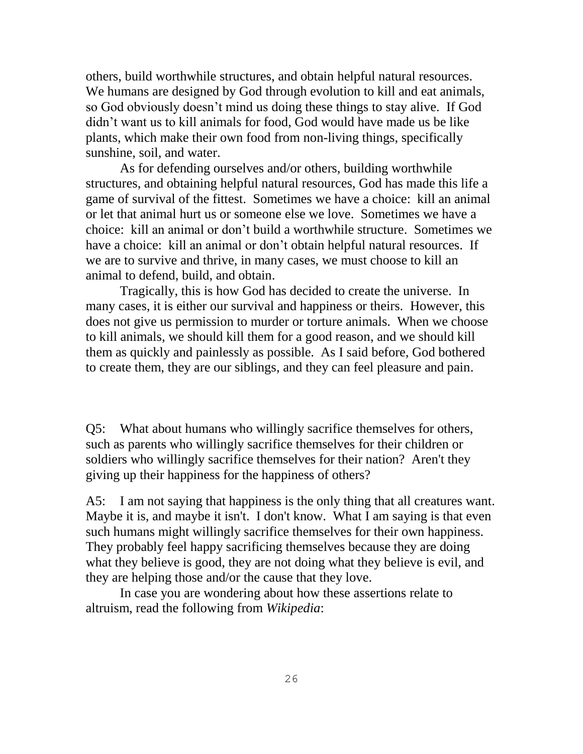others, build worthwhile structures, and obtain helpful natural resources. We humans are designed by God through evolution to kill and eat animals, so God obviously doesn't mind us doing these things to stay alive. If God didn't want us to kill animals for food, God would have made us be like plants, which make their own food from non-living things, specifically sunshine, soil, and water.

As for defending ourselves and/or others, building worthwhile structures, and obtaining helpful natural resources, God has made this life a game of survival of the fittest. Sometimes we have a choice: kill an animal or let that animal hurt us or someone else we love. Sometimes we have a choice: kill an animal or don't build a worthwhile structure. Sometimes we have a choice: kill an animal or don't obtain helpful natural resources. If we are to survive and thrive, in many cases, we must choose to kill an animal to defend, build, and obtain.

Tragically, this is how God has decided to create the universe. In many cases, it is either our survival and happiness or theirs. However, this does not give us permission to murder or torture animals. When we choose to kill animals, we should kill them for a good reason, and we should kill them as quickly and painlessly as possible. As I said before, God bothered to create them, they are our siblings, and they can feel pleasure and pain.

Q5: What about humans who willingly sacrifice themselves for others, such as parents who willingly sacrifice themselves for their children or soldiers who willingly sacrifice themselves for their nation? Aren't they giving up their happiness for the happiness of others?

A5: I am not saying that happiness is the only thing that all creatures want. Maybe it is, and maybe it isn't. I don't know. What I am saying is that even such humans might willingly sacrifice themselves for their own happiness. They probably feel happy sacrificing themselves because they are doing what they believe is good, they are not doing what they believe is evil, and they are helping those and/or the cause that they love.

In case you are wondering about how these assertions relate to altruism, read the following from *Wikipedia*: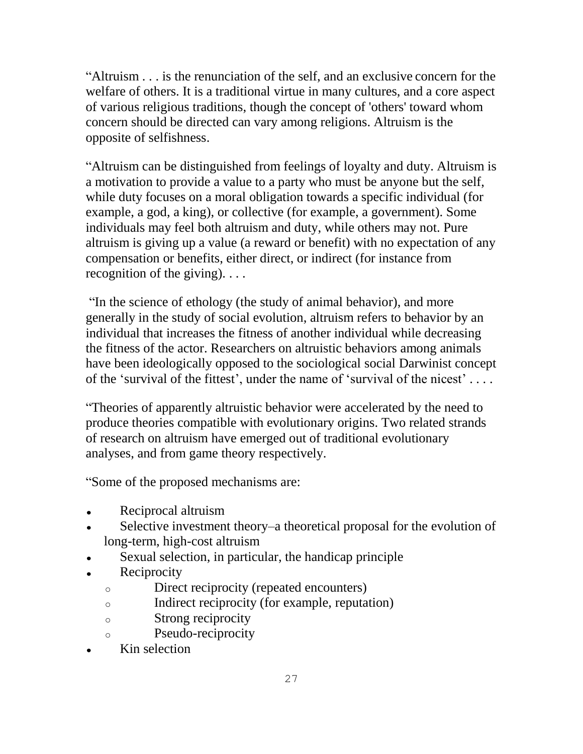―Altruism . . . is the renunciation of the self, and an exclusive concern for the [welfare](http://en.wikipedia.org/wiki/Quality_of_life) of others. It is a traditional [virtue](http://en.wikipedia.org/wiki/Virtue) in many cultures, and a core aspect of various religious traditions, though the concept of 'others' toward whom concern should be directed can vary among religions. Altruism is the opposite of [selfishness.](http://en.wikipedia.org/wiki/Selfishness)

―Altruism can be distinguished from feelings of [loyalty](http://en.wikipedia.org/wiki/Loyalty) and [duty.](http://en.wikipedia.org/wiki/Duty) Altruism is a motivation to provide a value to a party who must be anyone but the self, while duty focuses on a moral obligation towards a specific individual (for example, a [god,](http://en.wikipedia.org/wiki/God) a [king\)](http://en.wikipedia.org/wiki/Monarch), or collective (for example, a [government\)](http://en.wikipedia.org/wiki/Government). Some individuals may feel both altruism and duty, while others may not. Pure altruism is giving up a value (a reward or benefit) with no expectation of any compensation or benefits, either direct, or indirect (for instance from recognition of the giving). . . .

"In the science of [ethology](http://en.wikipedia.org/wiki/Ethology) (the study of animal behavior), and more generally in the study of [social evolution,](http://en.wikipedia.org/wiki/Social_evolution) altruism refers to behavior by an individual that increases the [fitness](http://en.wikipedia.org/wiki/Fitness_(biology)) of another individual while decreasing the fitness of the actor. Researchers on altruistic behaviors among animals have been ideologically opposed to the sociological social [Darwinist](http://en.wikipedia.org/wiki/Social_Darwinism) concept of the 'survival of the fittest', under the name of 'survival of the nicest'  $\dots$ .

―Theories of apparently altruistic behavior were accelerated by the need to produce theories compatible with evolutionary origins. Two related strands of research on altruism have emerged out of traditional evolutionary analyses, and from [game theory](http://en.wikipedia.org/wiki/Game_theory) respectively.

―Some of the proposed mechanisms are:

- [Reciprocal altruism](http://en.wikipedia.org/wiki/Reciprocal_altruism)
- Selective investment theory–a theoretical proposal for the evolution of long-term, high-cost altruism
- [Sexual selection,](http://en.wikipedia.org/wiki/Sexual_selection) in particular, the [handicap principle](http://en.wikipedia.org/wiki/Handicap_principle)
- **[Reciprocity](http://en.wikipedia.org/wiki/Reciprocity_(social_psychology))**  $\bullet$ 
	- o Direct reciprocity (repeated encounters)
	- o Indirect reciprocity (for example, [reputation\)](http://en.wikipedia.org/wiki/Reputation)
	- o Strong reciprocity
	- o Pseudo-reciprocity
- [Kin selection](http://en.wikipedia.org/wiki/Kin_selection) $\bullet$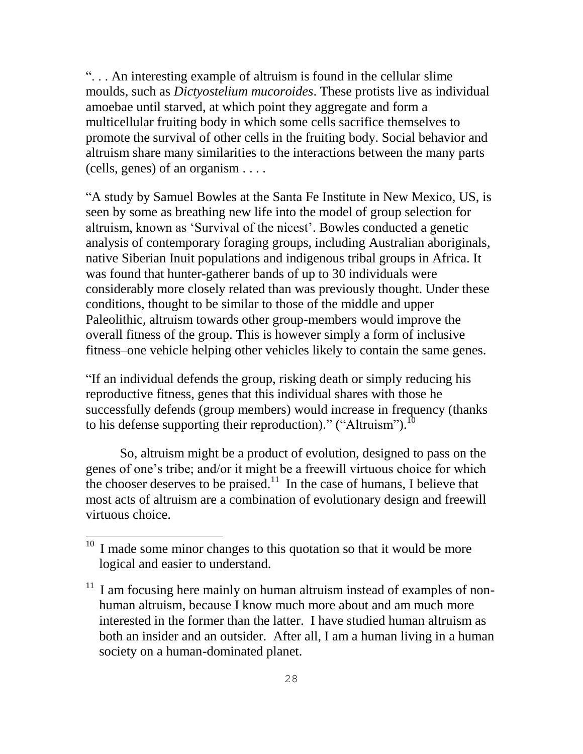―. . . An interesting example of altruism is found in the cellular [slime](http://en.wikipedia.org/wiki/Slime_mould)  [moulds,](http://en.wikipedia.org/wiki/Slime_mould) such as *[Dictyostelium](http://en.wikipedia.org/wiki/Dictyostelid) mucoroides*. These protists live as individual [amoebae](http://en.wikipedia.org/wiki/Amoebae) until starved, at which point they aggregate and form a multicellular fruiting body in which some cells sacrifice themselves to promote the survival of other cells in the fruiting body. Social behavior and altruism share many similarities to the interactions between the many parts (cells, genes) of an organism . . . .

―A study by [Samuel Bowles](http://en.wikipedia.org/wiki/Samuel_Bowles_(economist)) at the [Santa Fe Institute](http://en.wikipedia.org/wiki/Santa_Fe_Institute) in [New Mexico,](http://en.wikipedia.org/wiki/New_Mexico) US, is seen by some as breathing new life into the model of [group selection](http://en.wikipedia.org/wiki/Group_selection) for altruism, known as 'Survival of the nicest'. Bowles conducted a genetic analysis of contemporary foraging groups, including [Australian aboriginals,](http://en.wikipedia.org/wiki/Australian_aboriginals) native [Siberian](http://en.wikipedia.org/wiki/Siberian) [Inuit](http://en.wikipedia.org/wiki/Inuit) populations and indigenous tribal groups in Africa. It was found that [hunter-gatherer](http://en.wikipedia.org/wiki/Hunter-gatherer) bands of up to 30 individuals were considerably more closely related than was previously thought. Under these conditions, thought to be similar to those of the middle and upper [Paleolithic,](http://en.wikipedia.org/wiki/Paleolithic) altruism towards other group-members would improve the overall fitness of the group. This is however simply a form of [inclusive](http://en.wikipedia.org/wiki/Inclusive_fitness)  [fitness–](http://en.wikipedia.org/wiki/Inclusive_fitness)one vehicle helping other vehicles likely to contain the same genes.

―If an individual defends the group, risking death or simply reducing his reproductive fitness, genes that this individual shares with those he successfully defends (group members) would increase in frequency (thanks to his defense supporting their reproduction)." ("Altruism").  $^{10}$ 

So, altruism might be a product of evolution, designed to pass on the genes of one's tribe; and/or it might be a freewill virtuous choice for which the chooser deserves to be praised.<sup>11</sup> In the case of humans, I believe that most acts of altruism are a combination of evolutionary design and freewill virtuous choice.

 $10<sup>10</sup>$  I made some minor changes to this quotation so that it would be more logical and easier to understand.

 $11$  I am focusing here mainly on human altruism instead of examples of nonhuman altruism, because I know much more about and am much more interested in the former than the latter. I have studied human altruism as both an insider and an outsider. After all, I am a human living in a human society on a human-dominated planet.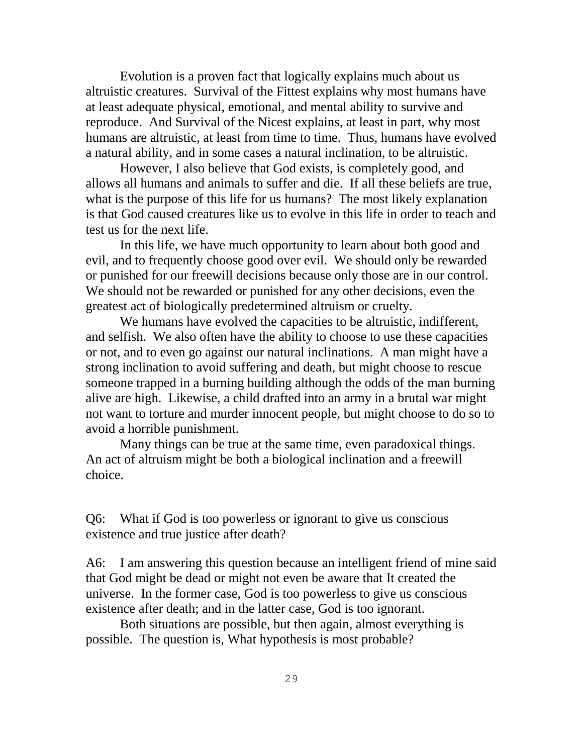Evolution is a proven fact that logically explains much about us altruistic creatures. Survival of the Fittest explains why most humans have at least adequate physical, emotional, and mental ability to survive and reproduce. And Survival of the Nicest explains, at least in part, why most humans are altruistic, at least from time to time. Thus, humans have evolved a natural ability, and in some cases a natural inclination, to be altruistic.

However, I also believe that God exists, is completely good, and allows all humans and animals to suffer and die. If all these beliefs are true, what is the purpose of this life for us humans? The most likely explanation is that God caused creatures like us to evolve in this life in order to teach and test us for the next life.

In this life, we have much opportunity to learn about both good and evil, and to frequently choose good over evil. We should only be rewarded or punished for our freewill decisions because only those are in our control. We should not be rewarded or punished for any other decisions, even the greatest act of biologically predetermined altruism or cruelty.

We humans have evolved the capacities to be altruistic, indifferent, and selfish. We also often have the ability to choose to use these capacities or not, and to even go against our natural inclinations. A man might have a strong inclination to avoid suffering and death, but might choose to rescue someone trapped in a burning building although the odds of the man burning alive are high. Likewise, a child drafted into an army in a brutal war might not want to torture and murder innocent people, but might choose to do so to avoid a horrible punishment.

Many things can be true at the same time, even paradoxical things. An act of altruism might be both a biological inclination and a freewill choice.

Q6: What if God is too powerless or ignorant to give us conscious existence and true justice after death?

A6: I am answering this question because an intelligent friend of mine said that God might be dead or might not even be aware that It created the universe. In the former case, God is too powerless to give us conscious existence after death; and in the latter case, God is too ignorant.

Both situations are possible, but then again, almost everything is possible. The question is, What hypothesis is most probable?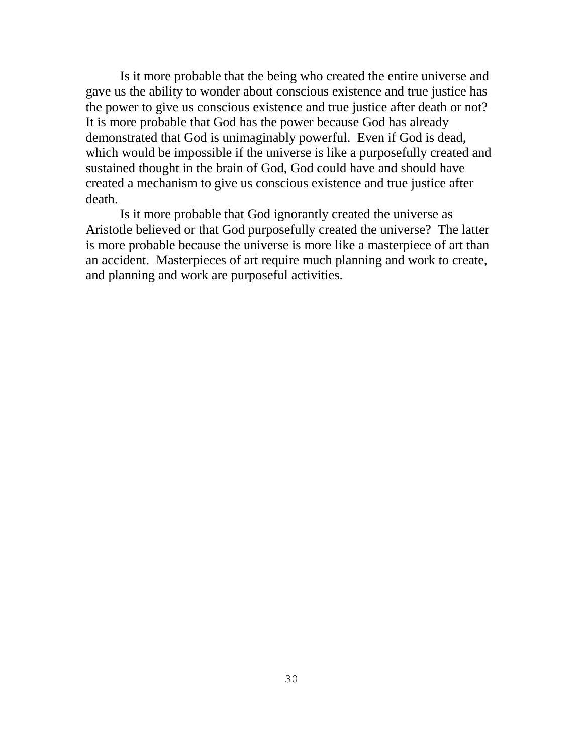Is it more probable that the being who created the entire universe and gave us the ability to wonder about conscious existence and true justice has the power to give us conscious existence and true justice after death or not? It is more probable that God has the power because God has already demonstrated that God is unimaginably powerful. Even if God is dead, which would be impossible if the universe is like a purposefully created and sustained thought in the brain of God, God could have and should have created a mechanism to give us conscious existence and true justice after death.

Is it more probable that God ignorantly created the universe as Aristotle believed or that God purposefully created the universe? The latter is more probable because the universe is more like a masterpiece of art than an accident. Masterpieces of art require much planning and work to create, and planning and work are purposeful activities.